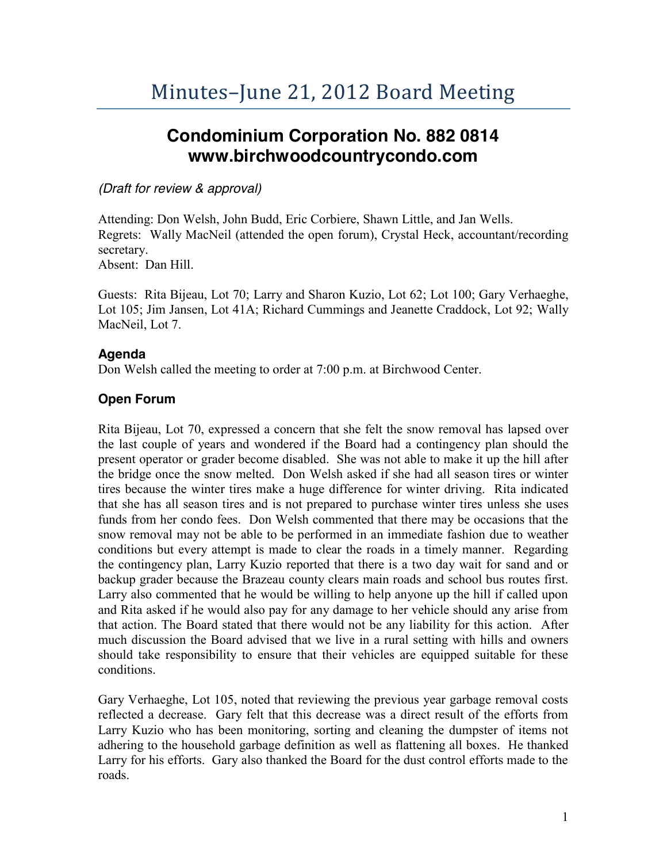# **Condominium Corporation No. 882 0814 www.birchwoodcountrycondo.com**

## *(Draft for review & approval)*

Attending: Don Welsh, John Budd, Eric Corbiere, Shawn Little, and Jan Wells. Regrets: Wally MacNeil (attended the open forum), Crystal Heck, accountant/recording secretary. Absent: Dan Hill.

Guests: Rita Bijeau, Lot 70; Larry and Sharon Kuzio, Lot 62; Lot 100; Gary Verhaeghe, Lot 105; Jim Jansen, Lot 41A; Richard Cummings and Jeanette Craddock, Lot 92; Wally MacNeil, Lot 7.

# **Agenda**

Don Welsh called the meeting to order at 7:00 p.m. at Birchwood Center.

# **Open Forum**

Rita Bijeau, Lot 70, expressed a concern that she felt the snow removal has lapsed over the last couple of years and wondered if the Board had a contingency plan should the present operator or grader become disabled. She was not able to make it up the hill after the bridge once the snow melted. Don Welsh asked if she had all season tires or winter tires because the winter tires make a huge difference for winter driving. Rita indicated that she has all season tires and is not prepared to purchase winter tires unless she uses funds from her condo fees. Don Welsh commented that there may be occasions that the snow removal may not be able to be performed in an immediate fashion due to weather conditions but every attempt is made to clear the roads in a timely manner. Regarding the contingency plan, Larry Kuzio reported that there is a two day wait for sand and or backup grader because the Brazeau county clears main roads and school bus routes first. Larry also commented that he would be willing to help anyone up the hill if called upon and Rita asked if he would also pay for any damage to her vehicle should any arise from that action. The Board stated that there would not be any liability for this action. After much discussion the Board advised that we live in a rural setting with hills and owners should take responsibility to ensure that their vehicles are equipped suitable for these conditions.

Gary Verhaeghe, Lot 105, noted that reviewing the previous year garbage removal costs reflected a decrease. Gary felt that this decrease was a direct result of the efforts from Larry Kuzio who has been monitoring, sorting and cleaning the dumpster of items not adhering to the household garbage definition as well as flattening all boxes. He thanked Larry for his efforts. Gary also thanked the Board for the dust control efforts made to the roads.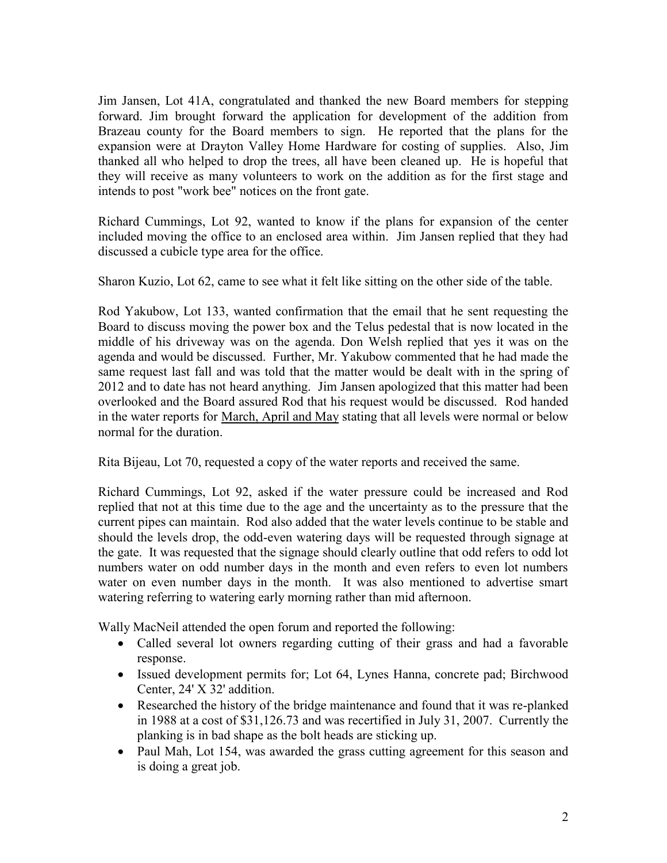Jim Jansen, Lot 41A, congratulated and thanked the new Board members for stepping forward. Jim brought forward the application for development of the addition from Brazeau county for the Board members to sign. He reported that the plans for the expansion were at Drayton Valley Home Hardware for costing of supplies. Also, Jim thanked all who helped to drop the trees, all have been cleaned up. He is hopeful that they will receive as many volunteers to work on the addition as for the first stage and intends to post "work bee" notices on the front gate.

Richard Cummings, Lot 92, wanted to know if the plans for expansion of the center included moving the office to an enclosed area within. Jim Jansen replied that they had discussed a cubicle type area for the office.

Sharon Kuzio, Lot 62, came to see what it felt like sitting on the other side of the table.

Rod Yakubow, Lot 133, wanted confirmation that the email that he sent requesting the Board to discuss moving the power box and the Telus pedestal that is now located in the middle of his driveway was on the agenda. Don Welsh replied that yes it was on the agenda and would be discussed. Further, Mr. Yakubow commented that he had made the same request last fall and was told that the matter would be dealt with in the spring of 2012 and to date has not heard anything. Jim Jansen apologized that this matter had been overlooked and the Board assured Rod that his request would be discussed. Rod handed in the water reports for March, April and May stating that all levels were normal or below normal for the duration.

Rita Bijeau, Lot 70, requested a copy of the water reports and received the same.

Richard Cummings, Lot 92, asked if the water pressure could be increased and Rod replied that not at this time due to the age and the uncertainty as to the pressure that the current pipes can maintain. Rod also added that the water levels continue to be stable and should the levels drop, the odd-even watering days will be requested through signage at the gate. It was requested that the signage should clearly outline that odd refers to odd lot numbers water on odd number days in the month and even refers to even lot numbers water on even number days in the month. It was also mentioned to advertise smart watering referring to watering early morning rather than mid afternoon.

Wally MacNeil attended the open forum and reported the following:

- Called several lot owners regarding cutting of their grass and had a favorable response.
- Issued development permits for; Lot 64, Lynes Hanna, concrete pad; Birchwood Center, 24' X 32' addition.
- Researched the history of the bridge maintenance and found that it was re-planked in 1988 at a cost of \$31,126.73 and was recertified in July 31, 2007. Currently the planking is in bad shape as the bolt heads are sticking up.
- Paul Mah, Lot 154, was awarded the grass cutting agreement for this season and is doing a great job.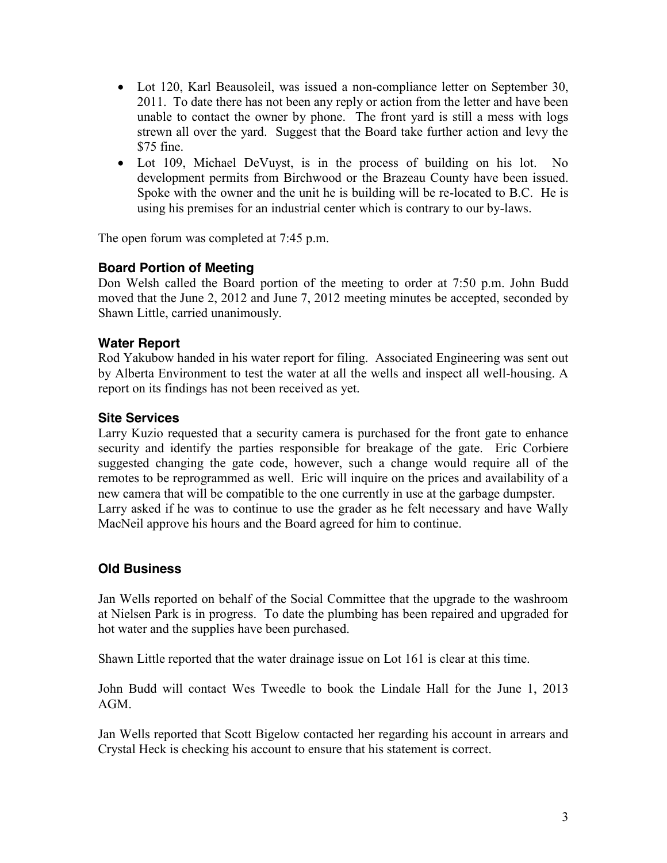- Lot 120, Karl Beausoleil, was issued a non-compliance letter on September 30, 2011. To date there has not been any reply or action from the letter and have been unable to contact the owner by phone. The front yard is still a mess with logs strewn all over the yard. Suggest that the Board take further action and levy the  $$75$  fine.
- Lot 109, Michael DeVuyst, is in the process of building on his lot. No development permits from Birchwood or the Brazeau County have been issued. Spoke with the owner and the unit he is building will be re-located to B.C. He is using his premises for an industrial center which is contrary to our by-laws.

The open forum was completed at 7:45 p.m.

# **Board Portion of Meeting**

Don Welsh called the Board portion of the meeting to order at 7:50 p.m. John Budd moved that the June 2, 2012 and June 7, 2012 meeting minutes be accepted, seconded by Shawn Little, carried unanimously.

#### **Water Report**

Rod Yakubow handed in his water report for filing. Associated Engineering was sent out by Alberta Environment to test the water at all the wells and inspect all well-housing. A report on its findings has not been received as yet.

#### **Site Services**

Larry Kuzio requested that a security camera is purchased for the front gate to enhance security and identify the parties responsible for breakage of the gate. Eric Corbiere suggested changing the gate code, however, such a change would require all of the remotes to be reprogrammed as well. Eric will inquire on the prices and availability of a new camera that will be compatible to the one currently in use at the garbage dumpster. Larry asked if he was to continue to use the grader as he felt necessary and have Wally MacNeil approve his hours and the Board agreed for him to continue.

#### **Old Business**

Jan Wells reported on behalf of the Social Committee that the upgrade to the washroom at Nielsen Park is in progress. To date the plumbing has been repaired and upgraded for hot water and the supplies have been purchased.

Shawn Little reported that the water drainage issue on Lot 161 is clear at this time.

John Budd will contact Wes Tweedle to book the Lindale Hall for the June 1, 2013 AGM.

Jan Wells reported that Scott Bigelow contacted her regarding his account in arrears and Crystal Heck is checking his account to ensure that his statement is correct.